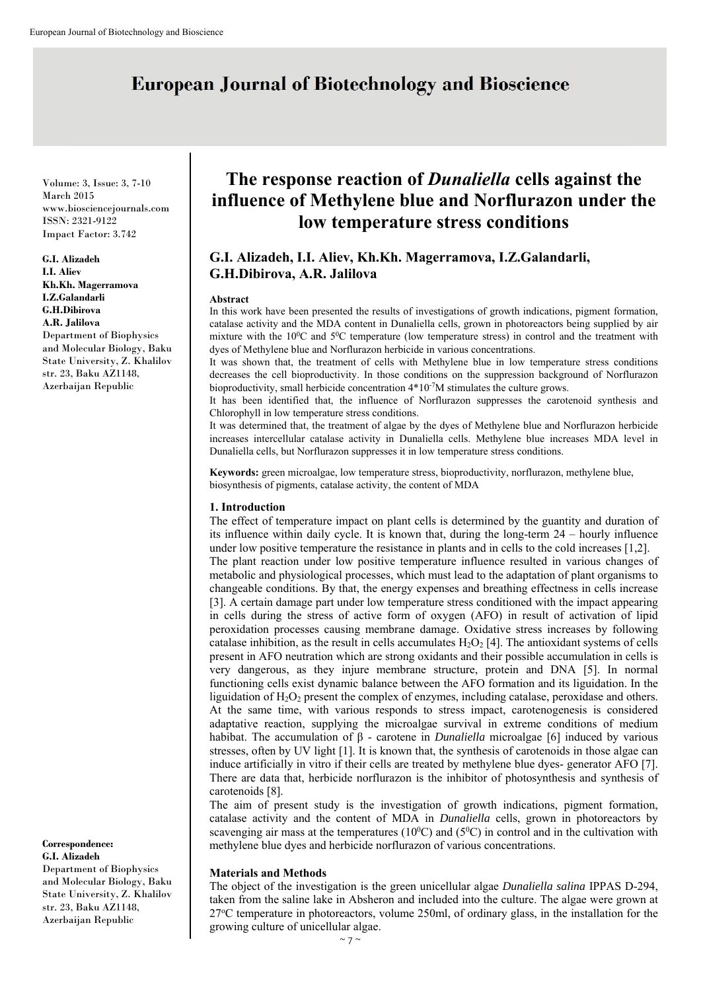# **European Journal of Biotechnology and Bioscience**

Volume: 3, Issue: 3, 7-10 March 2015 www.biosciencejournals.com ISSN: 2321-9122 Impact Factor: 3.742

**G.I. Alizadeh I.I. Aliev Kh.Kh. Magerramova I.Z.Galandarli G.H.Dibirova A.R. Jalilova** Department of Biophysics and Molecular Biology, Baku State University, Z. Khalilov str. 23, Baku AZ1148, Azerbaijan Republic

**Correspondence: G.I. Alizadeh**

Department of Biophysics and Molecular Biology, Baku State University, Z. Khalilov str. 23, Baku AZ1148, Azerbaijan Republic

## **The response reaction of** *Dunaliella* **cells against the influence of Methylene blue and Norflurazon under the low temperature stress conditions**

### **G.I. Alizadeh, I.I. Aliev, Kh.Kh. Magerramova, I.Z.Galandarli, G.H.Dibirova, A.R. Jalilova**

#### **Abstract**

In this work have been presented the results of investigations of growth indications, pigment formation, catalase activity and the MDA content in Dunaliella cells, grown in photoreactors being supplied by air mixture with the  $10^{\circ}$ C and  $5^{\circ}$ C temperature (low temperature stress) in control and the treatment with dyes of Methylene blue and Norflurazon herbicide in various concentrations.

It was shown that, the treatment of cells with Methylene blue in low temperature stress conditions decreases the cell bioproductivity. In those conditions on the suppression background of Norflurazon bioproductivity, small herbicide concentration  $4*10<sup>-7</sup>M$  stimulates the culture grows.

It has been identified that, the influence of Norflurazon suppresses the carotenoid synthesis and Chlorophyll in low temperature stress conditions.

It was determined that, the treatment of algae by the dyes of Methylene blue and Norflurazon herbicide increases intercellular catalase activity in Dunaliella cells. Methylene blue increases MDA level in Dunaliella cells, but Norflurazon suppresses it in low temperature stress conditions.

**Keywords:** green microalgae, low temperature stress, bioproductivity, norflurazon, methylene blue, biosynthesis of pigments, catalase activity, the content of MDA

#### **1. Introduction**

The effect of temperature impact on plant cells is determined by the guantity and duration of its influence within daily cycle. It is known that, during the long-term 24 – hourly influence under low positive temperature the resistance in plants and in cells to the cold increases [1,2]. The plant reaction under low positive temperature influence resulted in various changes of metabolic and physiological processes, which must lead to the adaptation of plant organisms to changeable conditions. By that, the energy expenses and breathing effectness in cells increase [3]. A certain damage part under low temperature stress conditioned with the impact appearing in cells during the stress of active form of oxygen (AFO) in result of activation of lipid peroxidation processes causing membrane damage. Oxidative stress increases by following catalase inhibition, as the result in cells accumulates  $H_2O_2$  [4]. The antioxidant systems of cells present in AFO neutration which are strong oxidants and their possible accumulation in cells is very dangerous, as they injure membrane structure, protein and DNA [5]. In normal functioning cells exist dynamic balance between the AFO formation and its liguidation. In the liguidation of  $H_2O_2$  present the complex of enzymes, including catalase, peroxidase and others. At the same time, with various responds to stress impact, carotenogenesis is considered adaptative reaction, supplying the microalgae survival in extreme conditions of medium habibat. The accumulation of β - carotene in *Dunaliella* microalgae [6] induced by various stresses, often by UV light [1]. It is known that, the synthesis of carotenoids in those algae can induce artificially in vitro if their cells are treated by methylene blue dyes- generator AFO [7]. There are data that, herbicide norflurazon is the inhibitor of photosynthesis and synthesis of carotenoids [8].

The aim of present study is the investigation of growth indications, pigment formation, catalase activity and the content of MDA in *Dunaliella* cells, grown in photoreactors by scavenging air mass at the temperatures ( $10^{\circ}$ C) and ( $5^{\circ}$ C) in control and in the cultivation with methylene blue dyes and herbicide norflurazon of various concentrations.

#### **Materials and Methods**

The object of the investigation is the green unicellular algae *Dunaliella salina* IPPAS D-294, taken from the saline lake in Absheron and included into the culture. The algae were grown at 27°C temperature in photoreactors, volume 250ml, of ordinary glass, in the installation for the growing culture of unicellular algae.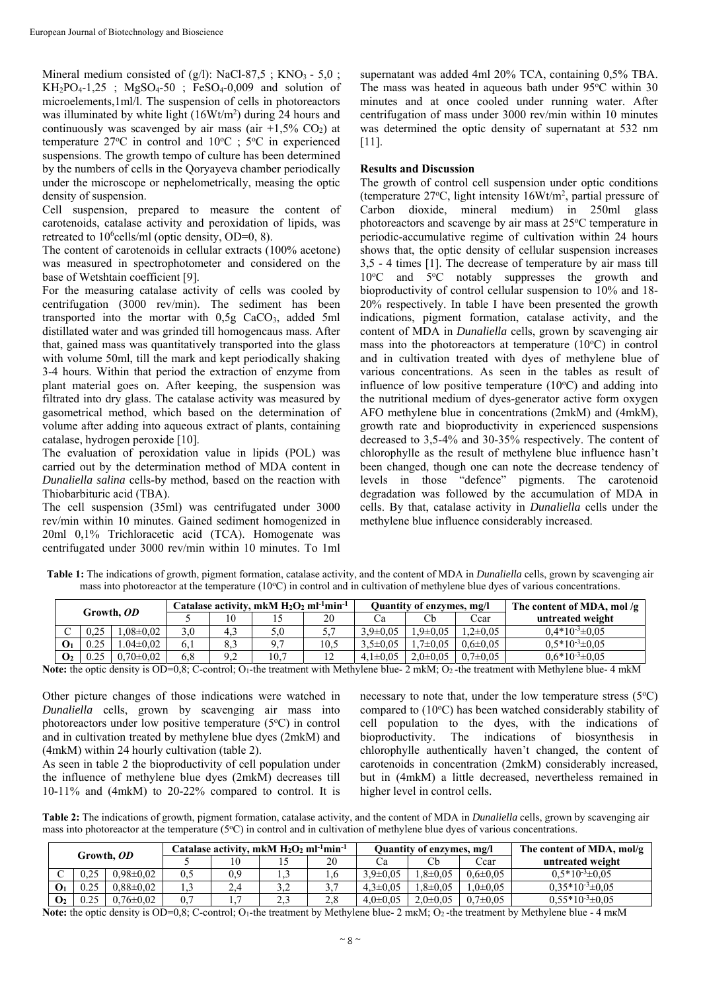Mineral medium consisted of  $(g/l)$ : NaCl-87,5; KNO<sub>3</sub> - 5,0;  $KH_2PO_4-1,25$ ;  $MgSO_4-50$ ;  $FeSO_4-0,009$  and solution of microelements,1ml/l. The suspension of cells in photoreactors was illuminated by white light (16Wt/m<sup>2</sup>) during 24 hours and continuously was scavenged by air mass (air  $+1.5\%$  CO<sub>2</sub>) at temperature  $27^{\circ}$ C in control and  $10^{\circ}$ C ;  $5^{\circ}$ C in experienced suspensions. The growth tempo of culture has been determined by the numbers of cells in the Qoryayeva chamber periodically under the microscope or nephelometrically, measing the optic density of suspension.

Cell suspension, prepared to measure the content of carotenoids, catalase activity and peroxidation of lipids, was retreated to 10<sup>6</sup>cells/ml (optic density, OD=0, 8).

The content of carotenoids in cellular extracts (100% acetone) was measured in spectrophotometer and considered on the base of Wetshtain coefficient [9].

For the measuring catalase activity of cells was cooled by centrifugation (3000 rev/min). The sediment has been transported into the mortar with 0,5g CaCO<sub>3</sub>, added 5ml distillated water and was grinded till homogencaus mass. After that, gained mass was quantitatively transported into the glass with volume 50ml, till the mark and kept periodically shaking 3-4 hours. Within that period the extraction of enzyme from plant material goes on. After keeping, the suspension was filtrated into dry glass. The catalase activity was measured by gasometrical method, which based on the determination of volume after adding into aqueous extract of plants, containing catalase, hydrogen peroxide [10].

The evaluation of peroxidation value in lipids (POL) was carried out by the determination method of MDA content in *Dunaliella salina* cells-by method, based on the reaction with Thiobarbituric acid (TBA).

The cell suspension (35ml) was centrifugated under 3000 rev/min within 10 minutes. Gained sediment homogenized in 20ml 0,1% Trichloracetic acid (TCA). Homogenate was centrifugated under 3000 rev/min within 10 minutes. To 1ml supernatant was added 4ml 20% TCA, containing 0,5% TBA. The mass was heated in aqueous bath under  $95^{\circ}$ C within 30 minutes and at once cooled under running water. After centrifugation of mass under 3000 rev/min within 10 minutes was determined the optic density of supernatant at 532 nm [11].

#### **Results and Discussion**

The growth of control cell suspension under optic conditions (temperature 27o C, light intensity 16Wt/m2 , partial pressure of Carbon dioxide, mineral medium) in 250ml glass photoreactors and scavenge by air mass at 25°C temperature in periodic-accumulative regime of cultivation within 24 hours shows that, the optic density of cellular suspension increases 3,5 - 4 times [1]. The decrease of temperature by air mass till 10°C and 5°C notably suppresses the growth and bioproductivity of control cellular suspension to 10% and 18- 20% respectively. In table I have been presented the growth indications, pigment formation, catalase activity, and the content of MDA in *Dunaliella* cells, grown by scavenging air mass into the photoreactors at temperature  $(10^{\circ}C)$  in control and in cultivation treated with dyes of methylene blue of various concentrations. As seen in the tables as result of influence of low positive temperature  $(10^{\circ}C)$  and adding into the nutritional medium of dyes-generator active form oxygen AFO methylene blue in concentrations (2mkM) and (4mkM), growth rate and bioproductivity in experienced suspensions decreased to 3,5-4% and 30-35% respectively. The content of chlorophylle as the result of methylene blue influence hasn't been changed, though one can note the decrease tendency of levels in those "defence" pigments. The carotenoid degradation was followed by the accumulation of MDA in cells. By that, catalase activity in *Dunaliella* cells under the methylene blue influence considerably increased.

|                | Growth, OD |                |  |          | Catalase activity, mkM $H_2O_2$ ml <sup>-1</sup> min <sup>-1</sup> |      | <b>Ouantity of enzymes, mg/l</b> |                |                | The content of MDA, mol/g |
|----------------|------------|----------------|--|----------|--------------------------------------------------------------------|------|----------------------------------|----------------|----------------|---------------------------|
|                |            |                |  |          |                                                                    | 20   |                                  | Сb             | Ccar           | untreated weight          |
| $\sqrt{ }$     | 0.25       | $.08 \pm 0.02$ |  | 4.3      | 5,0                                                                | ◡.   | $3.9 \pm 0.05$                   | $.9 \pm 0.05$  | $2\pm 0.05$    | $0.4*10^{-3} \pm 0.05$    |
| $\mathbf{O}_1$ | 0.25       | $.04 \pm 0.02$ |  | 8.3      |                                                                    | 10.5 | $3.5 \pm 0.05$                   | $.7 \pm 0.05$  | $0.6 \pm 0.05$ | $0.5*10^{-3}$ ± 0.05      |
| $\mathbf{O}_2$ | 0.25       | $.70 \pm 0.02$ |  | ററ<br>ے۔ | 10,7                                                               |      | $4.1 \pm 0.05$                   | $2.0 \pm 0.05$ | $0.7 \pm 0.05$ | $0.6*10^{-3}$ ± 0.05      |

**Table 1:** The indications of growth, pigment formation, catalase activity, and the content of MDA in *Dunaliella* cells, grown by scavenging air mass into photoreactor at the temperature  $(10^{\circ}C)$  in control and in cultivation of methylene blue dyes of various concentrations.

Note: the optic density is OD=0,8; C-control; O<sub>1</sub>-the treatment with Methylene blue- 2 mkM; O<sub>2</sub>-the treatment with Methylene blue- 4 mkM

Other picture changes of those indications were watched in *Dunaliella* cells, grown by scavenging air mass into photoreactors under low positive temperature (5°C) in control and in cultivation treated by methylene blue dyes (2mkM) and (4mkM) within 24 hourly cultivation (table 2).

As seen in table 2 the bioproductivity of cell population under the influence of methylene blue dyes (2mkM) decreases till 10-11% and (4mkM) to 20-22% compared to control. It is

necessary to note that, under the low temperature stress  $(5^{\circ}C)$ compared to (10°C) has been watched considerably stability of cell population to the dyes, with the indications of bioproductivity. The indications of biosynthesis in chlorophylle authentically haven't changed, the content of carotenoids in concentration (2mkM) considerably increased, but in (4mkM) a little decreased, nevertheless remained in higher level in control cells.

**Table 2:** The indications of growth, pigment formation, catalase activity, and the content of MDA in *Dunaliella* cells, grown by scavenging air mass into photoreactor at the temperature ( $5^{\circ}$ C) in control and in cultivation of methylene blue dyes of various concentrations.

| Growth, OD     |  |                 |     |     | Catalase activity, mkM $H_2O_2$ ml <sup>-1</sup> min <sup>-1</sup> |     | Quantity of enzymes, mg/l |                |                | The content of MDA, mol/g |
|----------------|--|-----------------|-----|-----|--------------------------------------------------------------------|-----|---------------------------|----------------|----------------|---------------------------|
|                |  |                 |     | 10  |                                                                    | 20  | Сa                        | Cb             | Cear           | untreated weight          |
|                |  | $0.98 \pm 0.02$ | 0.5 | 0.9 |                                                                    |     | $.9 \pm 0.05$             | $.8 \pm 0.05$  | $0.6 \pm 0.05$ | $0.5*10^{-3} \pm 0.05$    |
| $\mathbf{O}_1$ |  | $0.88 \pm 0.02$ |     | 2,4 | 3 つ                                                                |     | $4.3 \pm 0.05$            | $.8 \pm 0.05$  | $.0 \pm 0.05$  | $0.35*10^{-3} \pm 0.05$   |
| $\mathbf{O}_2$ |  | $0.76 \pm 0.02$ | 0.7 |     | 2,3                                                                | 2,8 | $4.0 \pm 0.05$            | $2.0 \pm 0.05$ | $0.7 \pm 0.05$ | $0.55*10^{-3} \pm 0.05$   |

**Note:** the optic density is OD=0,8; C-control; О1-the treatment by Methylene blue- 2 mкМ; О2 -the treatment by Methylene blue - 4 mкМ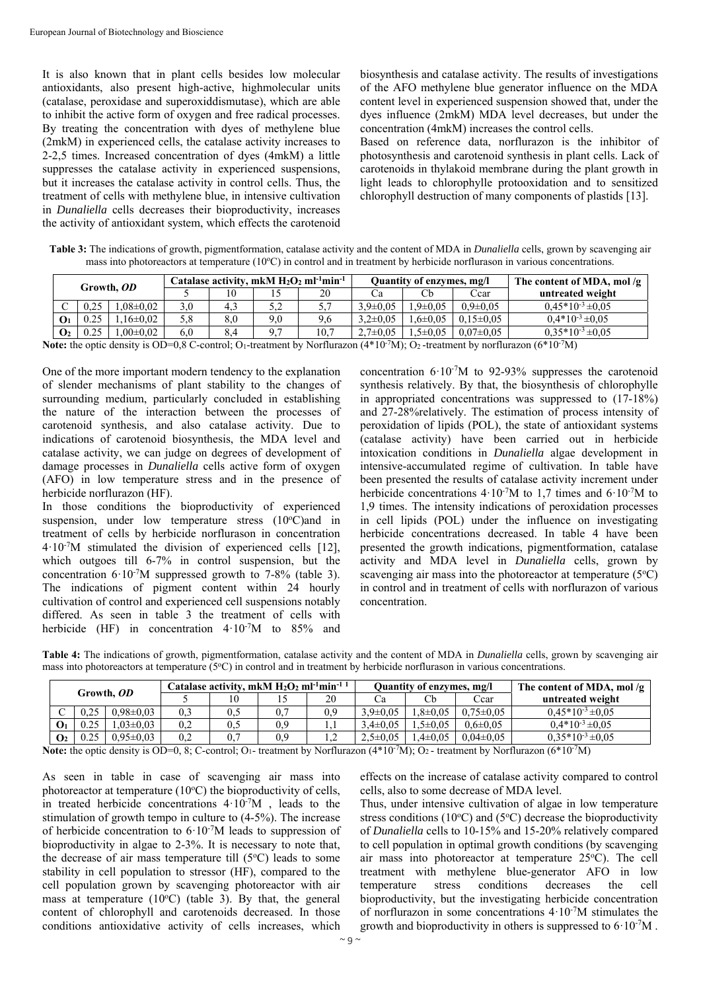It is also known that in plant cells besides low molecular antioxidants, also present high-active, highmolecular units (catalase, peroxidase and superoxiddismutase), which are able to inhibit the active form of oxygen and free radical processes. By treating the concentration with dyes of methylene blue (2mkM) in experienced cells, the catalase activity increases to 2-2,5 times. Increased concentration of dyes (4mkM) a little suppresses the catalase activity in experienced suspensions, but it increases the catalase activity in control cells. Thus, the treatment of cells with methylene blue, in intensive cultivation in *Dunaliella* cells decreases their bioproductivity, increases the activity of antioxidant system, which effects the carotenoid biosynthesis and catalase activity. The results of investigations of the AFO methylene blue generator influence on the MDA content level in experienced suspension showed that, under the dyes influence (2mkM) MDA level decreases, but under the concentration (4mkM) increases the control cells.

Based on reference data, norflurazon is the inhibitor of photosynthesis and carotenoid synthesis in plant cells. Lack of carotenoids in thylakoid membrane during the plant growth in light leads to chlorophylle protooxidation and to sensitized chlorophyll destruction of many components of plastids [13].

**Table 3:** The indications of growth, pigmentformation, catalase activity and the content of MDA in *Dunaliella* cells, grown by scavenging air mass into photoreactors at temperature  $(10^{\circ}C)$  in control and in treatment by herbicide norflurason in various concentrations.

| Growth. <i>OD</i> |  |                |     |    |            | Catalase activity, mkM $H_2O_2$ ml <sup>-1</sup> min <sup>-1</sup> |                | Quantity of enzymes, mg/l |                 | The content of MDA, mol/g |
|-------------------|--|----------------|-----|----|------------|--------------------------------------------------------------------|----------------|---------------------------|-----------------|---------------------------|
|                   |  |                |     |    |            | 20                                                                 | υa             | Сb                        | Cear            | untreated weight          |
| $\sqrt{ }$        |  | $.08 \pm 0.02$ |     | 4. | 5 つ<br>ے ۔ | <u>ັ</u>                                                           | $3.9 \pm 0.05$ | $.9 \pm 0.05$             | $0.9 \pm 0.05$  | $0.45*10^{-3} \pm 0.05$   |
| О1                |  | $16\pm0.02$    |     |    | 9.0        | 9.6                                                                | $3.2 \pm 0.05$ | $.6 \pm 0.05$             | $0.15 \pm 0.05$ | $0.4*10^{-3} \pm 0.05$    |
| $\mathbf{O}_2$    |  | $.00 \pm 0.02$ | 6.0 |    | 07         | 10,7                                                               | $2.7 \pm 0.05$ | $.5 \pm 0.05$             | $0.07 \pm 0.05$ | $0.35*10^{-3} \pm 0.05$   |

Note: the optic density is OD=0,8 C-control; O<sub>1</sub>-treatment by Norflurazon (4\*10<sup>-7</sup>М); O<sub>2</sub>-treatment by norflurazon (6\*10<sup>-7</sup>М)

One of the more important modern tendency to the explanation of slender mechanisms of plant stability to the changes of surrounding medium, particularly concluded in establishing the nature of the interaction between the processes of carotenoid synthesis, and also catalase activity. Due to indications of carotenoid biosynthesis, the MDA level and catalase activity, we can judge on degrees of development of damage processes in *Dunaliella* cells active form of oxygen (AFO) in low temperature stress and in the presence of herbicide norflurazon (HF).

In those conditions the bioproductivity of experienced suspension, under low temperature stress  $(10^{\circ}C)$  and in treatment of cells by herbicide norflurason in concentration 4·10-7M stimulated the division of experienced cells [12], which outgoes till 6-7% in control suspension, but the concentration  $6.10^{-7}M$  suppressed growth to 7-8% (table 3). The indications of pigment content within 24 hourly cultivation of control and experienced cell suspensions notably differed. As seen in table 3 the treatment of cells with herbicide (HF) in concentration 4.10<sup>-7</sup>M to 85% and concentration  $6.10^{3}$ M to 92-93% suppresses the carotenoid synthesis relatively. By that, the biosynthesis of chlorophylle in appropriated concentrations was suppressed to (17-18%) and 27-28%relatively. The estimation of process intensity of peroxidation of lipids (POL), the state of antioxidant systems (catalase activity) have been carried out in herbicide intoxication conditions in *Dunaliella* algae development in intensive-accumulated regime of cultivation. In table have been presented the results of catalase activity increment under herbicide concentrations  $4 \cdot 10^{-7}$ M to 1,7 times and  $6 \cdot 10^{-7}$ M to 1,9 times. The intensity indications of peroxidation processes in cell lipids (POL) under the influence on investigating herbicide concentrations decreased. In table 4 have been presented the growth indications, pigmentformation, catalase activity and MDA level in *Dunaliella* cells, grown by scavenging air mass into the photoreactor at temperature  $(5^{\circ}C)$ in control and in treatment of cells with norflurazon of various concentration.

**Table 4:** The indications of growth, pigmentformation, catalase activity and the content of MDA in *Dunaliella* cells, grown by scavenging air mass into photoreactors at temperature (5<sup>o</sup>C) in control and in treatment by herbicide norflurason in various concentrations.

|                | Growth, OD |                 |     | Catalase activity, mkM $H_2O_2$ ml <sup>-1</sup> min <sup>-1 1</sup> |     |     | <b>Ouantity of enzymes, mg/l</b> |               |                 | The content of MDA, mol/g $ $ |
|----------------|------------|-----------------|-----|----------------------------------------------------------------------|-----|-----|----------------------------------|---------------|-----------------|-------------------------------|
|                |            |                 |     |                                                                      |     | 20  | υa                               | Cb            | Ccar            | untreated weight              |
|                |            | $0.98 \pm 0.03$ |     | U.S                                                                  |     | 0.9 | $3.9 \pm 0.05$                   | $.8 \pm 0.05$ | $0.75 \pm 0.05$ | $0.45*10^{-3} \pm 0.05$       |
| O <sub>1</sub> | 0.25       | $.03 \pm 0.03$  |     | U.)                                                                  | 0.9 |     | $3.4 \pm 0.05$                   | $.5 \pm 0.05$ | $0.6 \pm 0.05$  | $0.4*10^{-3} \pm 0.05$        |
| $\mathbf{O}_2$ |            | $0.95 \pm 0.03$ | 0.2 |                                                                      | 0.9 |     | $2.5 \pm 0.05$                   | $4\pm 0.05$   | $0.04 \pm 0.05$ | $0.35*10^{3} \pm 0.05$        |

Note: the optic density is OD=0, 8; C-control; O<sub>1</sub>- treatment by Norflurazon (4\*10<sup>-7</sup>М); O<sub>2</sub>- treatment by Norflurazon (6\*10<sup>-7</sup>М)

As seen in table in case of scavenging air mass into photoreactor at temperature  $(10^{\circ}C)$  the bioproductivity of cells, in treated herbicide concentrations  $4 \cdot 10^{-7}$ M, leads to the stimulation of growth tempo in culture to (4-5%). The increase of herbicide concentration to 6·10-7M leads to suppression of bioproductivity in algae to 2-3%. It is necessary to note that, the decrease of air mass temperature till  $(5^{\circ}C)$  leads to some stability in cell population to stressor (HF), compared to the cell population grown by scavenging photoreactor with air mass at temperature  $(10^{\circ}C)$  (table 3). By that, the general content of chlorophyll and carotenoids decreased. In those conditions antioxidative activity of cells increases, which

effects on the increase of catalase activity compared to control cells, also to some decrease of MDA level.

Thus, under intensive cultivation of algae in low temperature stress conditions ( $10^{\circ}$ C) and ( $5^{\circ}$ C) decrease the bioproductivity of *Dunaliella* cells to 10-15% and 15-20% relatively compared to cell population in optimal growth conditions (by scavenging air mass into photoreactor at temperature 25°C). The cell treatment with methylene blue-generator AFO in low temperature stress conditions decreases the cell bioproductivity, but the investigating herbicide concentration of norflurazon in some concentrations 4·10-7M stimulates the growth and bioproductivity in others is suppressed to 6·10-7M .